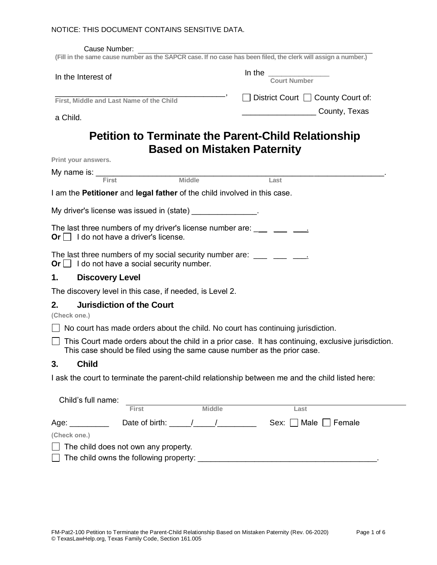#### NOTICE: THIS DOCUMENT CONTAINS SENSITIVE DATA.

| Cause Number:<br>(Fill in the same cause number as the SAPCR case. If no case has been filed, the clerk will assign a number.)                                              |                                               |
|-----------------------------------------------------------------------------------------------------------------------------------------------------------------------------|-----------------------------------------------|
|                                                                                                                                                                             |                                               |
| In the Interest of                                                                                                                                                          | In the Court Number                           |
| First, Middle and Last Name of the Child                                                                                                                                    | $\Box$ District Court $\Box$ County Court of: |
| a Child.                                                                                                                                                                    | County, Texas                                 |
| <b>Petition to Terminate the Parent-Child Relationship</b><br><b>Based on Mistaken Paternity</b>                                                                            |                                               |
| Print your answers.                                                                                                                                                         |                                               |
| $My$ name is: $\frac{1}{\text{First}}$ Middle                                                                                                                               |                                               |
|                                                                                                                                                                             | Last                                          |
| I am the <b>Petitioner</b> and <b>legal father</b> of the child involved in this case.                                                                                      |                                               |
| My driver's license was issued in (state) _______________.                                                                                                                  |                                               |
| The last three numbers of my driver's license number are: $\frac{1}{\sqrt{1-\frac{1}{2}}}\frac{1}{\sqrt{1-\frac{1}{2}}}$<br>Or $\Box$ I do not have a driver's license.     |                                               |
| The last three numbers of my social security number are: $\frac{1}{1-\frac{1}{2}}$ $\frac{1}{\frac{1}{2-\frac{1}{2}}}$<br>Or $\Box$ I do not have a social security number. |                                               |
| <b>Discovery Level</b><br>1.                                                                                                                                                |                                               |
| The discovery level in this case, if needed, is Level 2.                                                                                                                    |                                               |
| <b>Jurisdiction of the Court</b><br>2.<br>(Check one.)                                                                                                                      |                                               |
| $\Box$ No court has made orders about the child. No court has continuing jurisdiction.                                                                                      |                                               |
| $\Box$ This Court made orders about the child in a prior case. It has continuing, exclusive jurisdiction.                                                                   |                                               |
| This case should be filed using the same cause number as the prior case.                                                                                                    |                                               |
| 3. Child                                                                                                                                                                    |                                               |
| I ask the court to terminate the parent-child relationship between me and the child listed here:                                                                            |                                               |
|                                                                                                                                                                             |                                               |
| Child's full name:<br><b>Middle</b><br><b>First</b>                                                                                                                         | Last                                          |
| Age: __________                                                                                                                                                             |                                               |
| (Check one.)                                                                                                                                                                |                                               |
| The child does not own any property.                                                                                                                                        |                                               |
|                                                                                                                                                                             |                                               |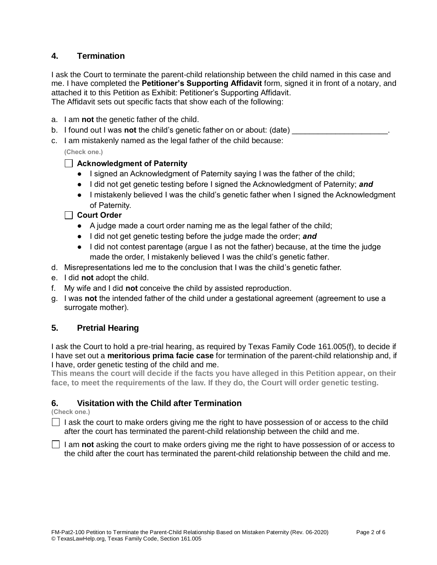# **4. Termination**

I ask the Court to terminate the parent-child relationship between the child named in this case and me. I have completed the **Petitioner's Supporting Affidavit** form, signed it in front of a notary, and attached it to this Petition as Exhibit: Petitioner's Supporting Affidavit. The Affidavit sets out specific facts that show each of the following:

- a. I am **not** the genetic father of the child.
- b. I found out I was **not** the child's genetic father on or about: (date)
- c. I am mistakenly named as the legal father of the child because:

**(Check one.)**

### **Acknowledgment of Paternity**

- **●** I signed an Acknowledgment of Paternity saying I was the father of the child;
- I did not get genetic testing before I signed the Acknowledgment of Paternity; *and*
- I mistakenly believed I was the child's genetic father when I signed the Acknowledgment of Paternity.

### **Court Order**

- **●** A judge made a court order naming me as the legal father of the child;
- I did not get genetic testing before the judge made the order; *and*
- I did not contest parentage (argue I as not the father) because, at the time the judge made the order, I mistakenly believed I was the child's genetic father.
- d. Misrepresentations led me to the conclusion that I was the child's genetic father.
- e. I did **not** adopt the child.
- f. My wife and I did **not** conceive the child by assisted reproduction.
- g. I was **not** the intended father of the child under a gestational agreement (agreement to use a surrogate mother).

## **5. Pretrial Hearing**

I ask the Court to hold a pre-trial hearing, as required by Texas Family Code 161.005(f), to decide if I have set out a **meritorious prima facie case** for termination of the parent-child relationship and, if I have, order genetic testing of the child and me.

**This means the court will decide if the facts you have alleged in this Petition appear, on their face, to meet the requirements of the law. If they do, the Court will order genetic testing.**

## **6. Visitation with the Child after Termination**

**(Check one.)**

 $\Box$  I ask the court to make orders giving me the right to have possession of or access to the child after the court has terminated the parent-child relationship between the child and me.

I am **not** asking the court to make orders giving me the right to have possession of or access to the child after the court has terminated the parent-child relationship between the child and me.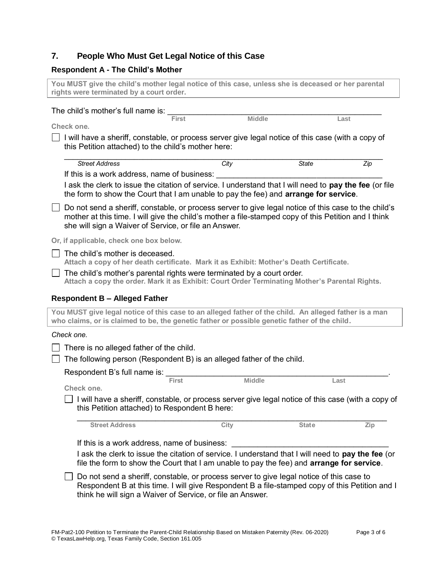### **7. People Who Must Get Legal Notice of this Case**

#### **Respondent A - The Child's Mother**

**You MUST give the child's mother legal notice of this case, unless she is deceased or her parental rights were terminated by a court order.**

| The child's mother's full name is: |  |
|------------------------------------|--|
|------------------------------------|--|

**Check one.**

 **First Middle Last**

 $\Box$  I will have a sheriff, constable, or process server give legal notice of this case (with a copy of this Petition attached) to the child's mother here:

| <b>Street Address</b> |                                                                                                    | City                                                                                                                                                                                                         | <b>State</b> | Zip  |
|-----------------------|----------------------------------------------------------------------------------------------------|--------------------------------------------------------------------------------------------------------------------------------------------------------------------------------------------------------------|--------------|------|
|                       | If this is a work address, name of business:                                                       |                                                                                                                                                                                                              |              |      |
|                       |                                                                                                    | I ask the clerk to issue the citation of service. I understand that I will need to pay the fee (or file<br>the form to show the Court that I am unable to pay the fee) and <b>arrange for service</b> .      |              |      |
|                       | she will sign a Waiver of Service, or file an Answer.                                              | Do not send a sheriff, constable, or process server to give legal notice of this case to the child's<br>mother at this time. I will give the child's mother a file-stamped copy of this Petition and I think |              |      |
|                       | Or, if applicable, check one box below.                                                            |                                                                                                                                                                                                              |              |      |
|                       | The child's mother is deceased.                                                                    | Attach a copy of her death certificate. Mark it as Exhibit: Mother's Death Certificate.                                                                                                                      |              |      |
|                       |                                                                                                    | The child's mother's parental rights were terminated by a court order.<br>Attach a copy the order. Mark it as Exhibit: Court Order Terminating Mother's Parental Rights.                                     |              |      |
|                       | <b>Respondent B - Alleged Father</b>                                                               |                                                                                                                                                                                                              |              |      |
|                       |                                                                                                    | You MUST give legal notice of this case to an alleged father of the child. An alleged father is a man<br>who claims, or is claimed to be, the genetic father or possible genetic father of the child.        |              |      |
| Check one.            |                                                                                                    |                                                                                                                                                                                                              |              |      |
|                       | There is no alleged father of the child.                                                           |                                                                                                                                                                                                              |              |      |
|                       |                                                                                                    | The following person (Respondent B) is an alleged father of the child.                                                                                                                                       |              |      |
|                       | Respondent B's full name is:                                                                       |                                                                                                                                                                                                              |              |      |
|                       | <b>First</b>                                                                                       | <b>Middle</b>                                                                                                                                                                                                |              | Last |
| Check one.            |                                                                                                    |                                                                                                                                                                                                              |              |      |
|                       | this Petition attached) to Respondent B here:                                                      | I will have a sheriff, constable, or process server give legal notice of this case (with a copy of                                                                                                           |              |      |
|                       | <b>Street Address</b>                                                                              | City                                                                                                                                                                                                         | <b>State</b> | Zip  |
|                       |                                                                                                    |                                                                                                                                                                                                              |              |      |
|                       | If this is a work address, name of business:                                                       |                                                                                                                                                                                                              |              |      |
|                       | I ask the clerk to issue the citation of service. I understand that I will need to pay the fee (or |                                                                                                                                                                                                              |              |      |

 $\Box$  Do not send a sheriff, constable, or process server to give legal notice of this case to Respondent B at this time. I will give Respondent B a file-stamped copy of this Petition and I think he will sign a Waiver of Service, or file an Answer.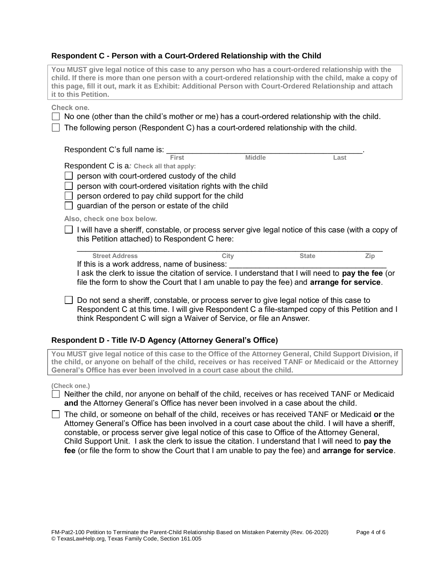#### **Respondent C - Person with a Court-Ordered Relationship with the Child**

| You MUST give legal notice of this case to any person who has a court-ordered relationship with the<br>child. If there is more than one person with a court-ordered relationship with the child, make a copy of<br>this page, fill it out, mark it as Exhibit: Additional Person with Court-Ordered Relationship and attach<br>it to this Petition.                                                                     |               |              |      |
|-------------------------------------------------------------------------------------------------------------------------------------------------------------------------------------------------------------------------------------------------------------------------------------------------------------------------------------------------------------------------------------------------------------------------|---------------|--------------|------|
| Check one.<br>$\Box$ No one (other than the child's mother or me) has a court-ordered relationship with the child.<br>The following person (Respondent C) has a court-ordered relationship with the child.                                                                                                                                                                                                              |               |              |      |
| Respondent C's full name is: First                                                                                                                                                                                                                                                                                                                                                                                      |               |              |      |
| Respondent C is a: Check all that apply:<br>person with court-ordered custody of the child<br>person with court-ordered visitation rights with the child<br>person ordered to pay child support for the child<br>guardian of the person or estate of the child                                                                                                                                                          | <b>Middle</b> |              | Last |
| Also, check one box below.                                                                                                                                                                                                                                                                                                                                                                                              |               |              |      |
| $\Box$ I will have a sheriff, constable, or process server give legal notice of this case (with a copy of<br>this Petition attached) to Respondent C here:                                                                                                                                                                                                                                                              |               |              |      |
| <b>Street Address</b><br>If this is a work address, name of business:<br>I ask the clerk to issue the citation of service. I understand that I will need to pay the fee (or<br>file the form to show the Court that I am unable to pay the fee) and arrange for service.                                                                                                                                                | City          | <b>State</b> | Zip  |
| Do not send a sheriff, constable, or process server to give legal notice of this case to<br>Respondent C at this time. I will give Respondent C a file-stamped copy of this Petition and I<br>think Respondent C will sign a Waiver of Service, or file an Answer.                                                                                                                                                      |               |              |      |
| Respondent D - Title IV-D Agency (Attorney General's Office)                                                                                                                                                                                                                                                                                                                                                            |               |              |      |
| You MUST give legal notice of this case to the Office of the Attorney General, Child Support Division, if<br>the child, or anyone on behalf of the child, receives or has received TANF or Medicaid or the Attorney<br>General's Office has ever been involved in a court case about the child.                                                                                                                         |               |              |      |
| (Check one.)<br>$\Box$ Neither the child, nor anyone on behalf of the child, receives or has received TANF or Medicaid<br>and the Attorney General's Office has never been involved in a case about the child.<br>The child, or someone on behalf of the child, receives or has received TANF or Medicaid or the<br>Attorney General's Office has been involved in a court case about the child. I will have a sheriff, |               |              |      |

constable, or process server give legal notice of this case to Office of the Attorney General, Child Support Unit. I ask the clerk to issue the citation. I understand that I will need to **pay the fee** (or file the form to show the Court that I am unable to pay the fee) and **arrange for service**.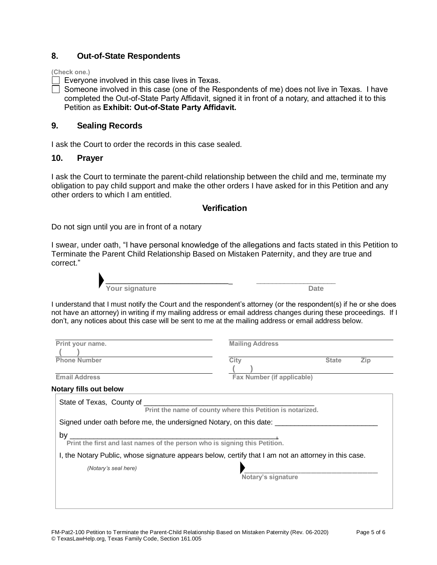### **8. Out-of-State Respondents**

**(Check one.)**

Everyone involved in this case lives in Texas.

Someone involved in this case (one of the Respondents of me) does not live in Texas. I have completed the Out-of-State Party Affidavit, signed it in front of a notary, and attached it to this Petition as **Exhibit: Out-of-State Party Affidavit.** 

### **9. Sealing Records**

I ask the Court to order the records in this case sealed.

#### **10. Prayer**

I ask the Court to terminate the parent-child relationship between the child and me, terminate my obligation to pay child support and make the other orders I have asked for in this Petition and any other orders to which I am entitled.

### **Verification**

Do not sign until you are in front of a notary

I swear, under oath, "I have personal knowledge of the allegations and facts stated in this Petition to Terminate the Parent Child Relationship Based on Mistaken Paternity, and they are true and correct."



I understand that I must notify the Court and the respondent's attorney (or the respondent(s) if he or she does not have an attorney) in writing if my mailing address or email address changes during these proceedings. If I don't, any notices about this case will be sent to me at the mailing address or email address below.

| Print your name.                                                                                                                                                                             | <b>Mailing Address</b>     |                     |  |  |
|----------------------------------------------------------------------------------------------------------------------------------------------------------------------------------------------|----------------------------|---------------------|--|--|
| <b>Phone Number</b>                                                                                                                                                                          | City                       | Zip<br><b>State</b> |  |  |
| <b>Email Address</b>                                                                                                                                                                         | Fax Number (if applicable) |                     |  |  |
| <b>Notary fills out below</b>                                                                                                                                                                |                            |                     |  |  |
| State of Texas, County of Print the name of county where this Petition is notarized.<br>Signed under oath before me, the undersigned Notary, on this date: _________________________________ |                            |                     |  |  |
| by<br><u> 1989 - Jan James James Barnett, fransk politik (d. 1989)</u><br>Print the first and last names of the person who is signing this Petition.                                         |                            |                     |  |  |
| I, the Notary Public, whose signature appears below, certify that I am not an attorney in this case.                                                                                         |                            |                     |  |  |
| (Notary's seal here)                                                                                                                                                                         | Notary's signature         |                     |  |  |